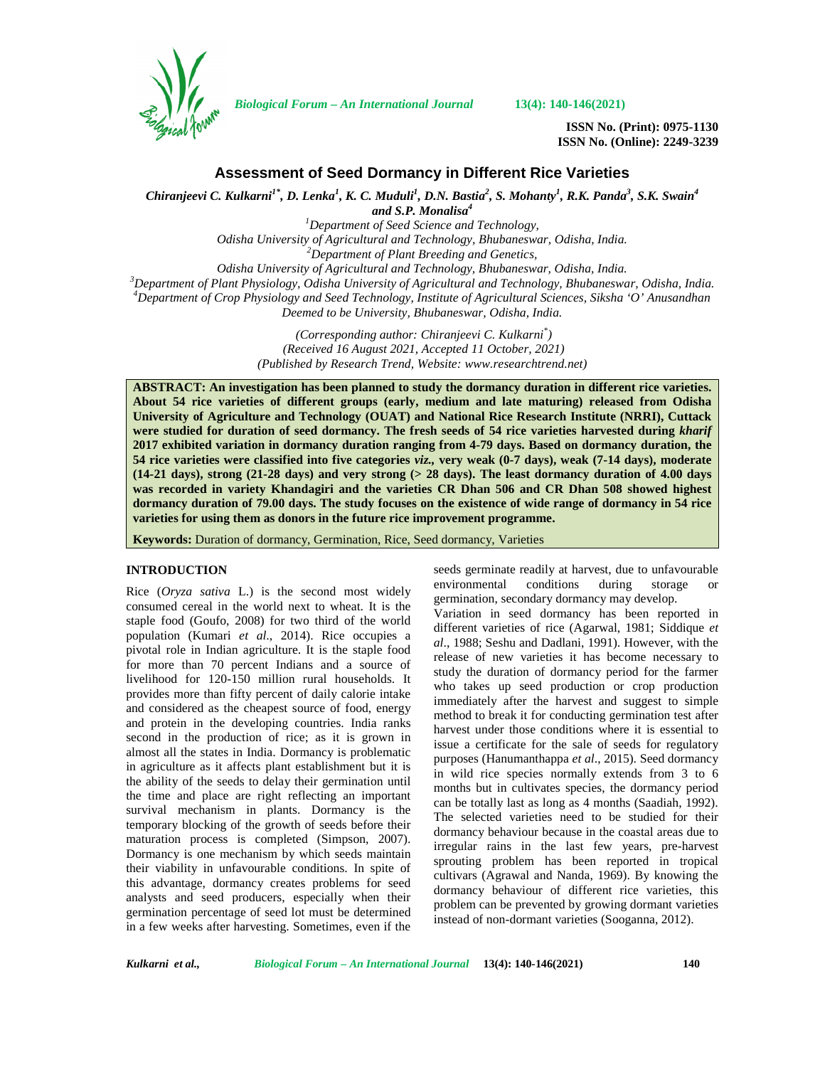

*Biological Forum – An International Journal* **13(4): 140-146(2021)**

**ISSN No. (Print): 0975-1130 ISSN No. (Online): 2249-3239**

# **Assessment of Seed Dormancy in Different Rice Varieties**

*Chiranjeevi C. Kulkarni1\*, D. Lenka<sup>1</sup> , K. C. Muduli<sup>1</sup> , D.N. Bastia<sup>2</sup> , S. Mohanty<sup>1</sup> , R.K. Panda<sup>3</sup> , S.K. Swain<sup>4</sup>*

*and S.P. Monalisa<sup>4</sup>*

*<sup>1</sup>Department of Seed Science and Technology,*

*Odisha University of Agricultural and Technology, Bhubaneswar, Odisha, India. <sup>2</sup>Department of Plant Breeding and Genetics,*

<sup>3</sup>Department of Plant Physiology, Odisha University of Agricultural and Technology, Bhubaneswar, Odisha, India.<br><sup>4</sup>Department of Crop Physiology and Seed Technology, Institute of Agricultural Sciences, Siksha 'O' Anusand

*Deemed to be University, Bhubaneswar, Odisha, India.*

*(Corresponding author: Chiranjeevi C. Kulkarni\*) (Received 16 August 2021, Accepted 11 October, 2021) (Published by Research Trend, Website: [www.researchtrend.net\)](www.researchtrend.net)*

**ABSTRACT: An investigation has been planned to study the dormancy duration in different rice varieties. About 54 rice varieties of different groups (early, medium and late maturing) released from Odisha University of Agriculture and Technology (OUAT) and National Rice Research Institute (NRRI), Cuttack were studied for duration of seed dormancy. The fresh seeds of 54 rice varieties harvested during** *kharif* **2017 exhibited variation in dormancy duration ranging from 4-79 days. Based on dormancy duration, the 54 rice varieties were classified into five categories** *viz.,* **very weak (0-7 days), weak (7-14 days), moderate (14-21 days), strong (21-28 days) and very strong (> 28 days). The least dormancy duration of 4.00 days was recorded in variety Khandagiri and the varieties CR Dhan 506 and CR Dhan 508 showed highest dormancy duration of 79.00 days. The study focuses on the existence of wide range of dormancy in 54 rice varieties for using them as donors in the future rice improvement programme.**

**Keywords:** Duration of dormancy, Germination, Rice, Seed dormancy, Varieties

## **INTRODUCTION**

Rice (*Oryza sativa* L.) is the second most widely consumed cereal in the world next to wheat. It is the staple food (Goufo, 2008) for two third of the world population (Kumari *et al*., 2014). Rice occupies a pivotal role in Indian agriculture. It is the staple food for more than 70 percent Indians and a source of livelihood for 120-150 million rural households. It provides more than fifty percent of daily calorie intake and considered as the cheapest source of food, energy and protein in the developing countries. India ranks second in the production of rice; as it is grown in almost all the states in India. Dormancy is problematic in agriculture as it affects plant establishment but it is the ability of the seeds to delay their germination until the time and place are right reflecting an important survival mechanism in plants. Dormancy is the temporary blocking of the growth of seeds before their maturation process is completed (Simpson, 2007). Dormancy is one mechanism by which seeds maintain their viability in unfavourable conditions. In spite of this advantage, dormancy creates problems for seed analysts and seed producers, especially when their germination percentage of seed lot must be determined in a few weeks after harvesting. Sometimes, even if the

seeds germinate readily at harvest, due to unfavourable environmental conditions during storage germination, secondary dormancy may develop. Variation in seed dormancy has been reported in different varieties of rice (Agarwal, 1981; Siddique *et al*., 1988; Seshu and Dadlani, 1991). However, with the release of new varieties it has become necessary to study the duration of dormancy period for the farmer who takes up seed production or crop production immediately after the harvest and suggest to simple method to break it for conducting germination test after harvest under those conditions where it is essential to issue a certificate for the sale of seeds for regulatory purposes (Hanumanthappa *et al*., 2015). Seed dormancy in wild rice species normally extends from 3 to 6 months but in cultivates species, the dormancy period can be totally last as long as 4 months (Saadiah, 1992). The selected varieties need to be studied for their dormancy behaviour because in the coastal areas due to irregular rains in the last few years, pre-harvest sprouting problem has been reported in tropical cultivars (Agrawal and Nanda, 1969). By knowing the dormancy behaviour of different rice varieties, this problem can be prevented by growing dormant varieties instead of non-dormant varieties (Sooganna, 2012).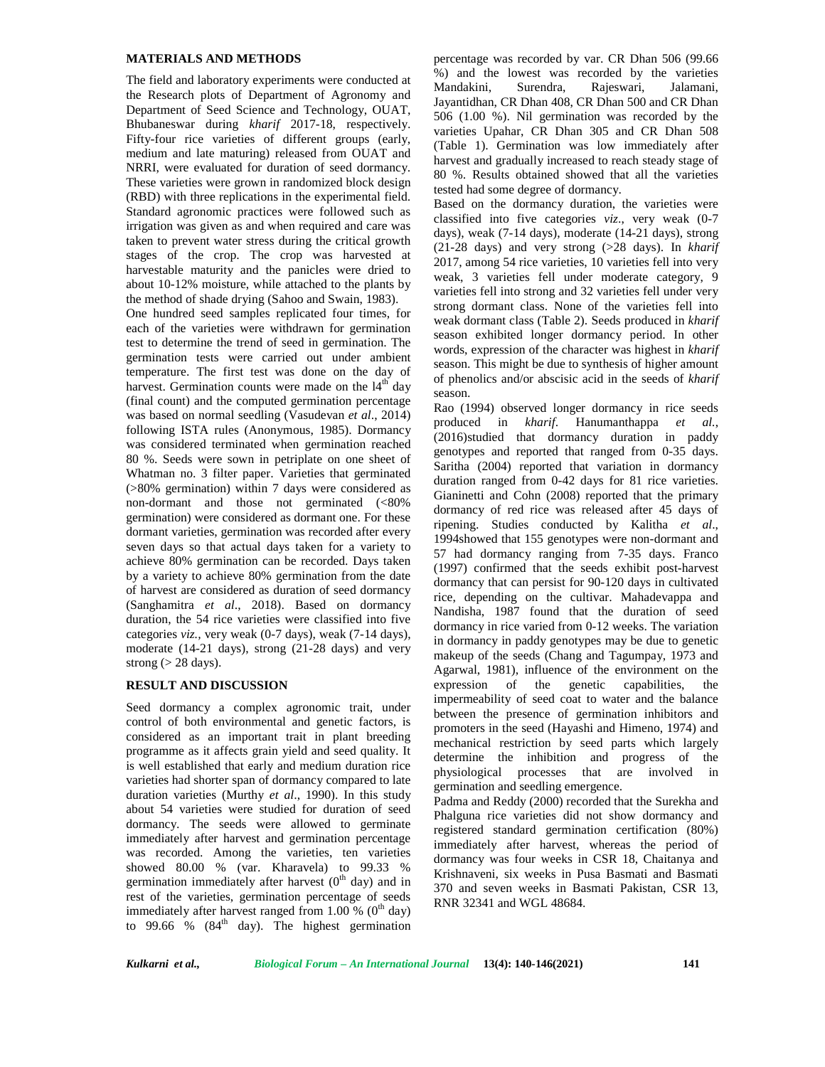## **MATERIALS AND METHODS**

The field and laboratory experiments were conducted at Mandakini, the Research plots of Department of Agronomy and Department of Seed Science and Technology, OUAT, Bhubaneswar during *kharif* 2017-18, respectively. Fifty-four rice varieties of different groups (early, medium and late maturing) released from OUAT and NRRI, were evaluated for duration of seed dormancy. These varieties were grown in randomized block design (RBD) with three replications in the experimental field. Standard agronomic practices were followed such as irrigation was given as and when required and care was taken to prevent water stress during the critical growth stages of the crop. The crop was harvested at harvestable maturity and the panicles were dried to about 10-12% moisture, while attached to the plants by the method of shade drying (Sahoo and Swain, 1983).

One hundred seed samples replicated four times, for each of the varieties were withdrawn for germination test to determine the trend of seed in germination. The germination tests were carried out under ambient temperature. The first test was done on the day of harvest. Germination counts were made on the  $14<sup>th</sup>$  day (final count) and the computed germination percentage was based on normal seedling (Vasudevan *et al*., 2014) following ISTA rules (Anonymous, 1985). Dormancy was considered terminated when germination reached 80 %. Seeds were sown in petriplate on one sheet of Whatman no. 3 filter paper. Varieties that germinated (>80% germination) within 7 days were considered as non-dormant and those not germinated (<80% germination) were considered as dormant one. For these dormant varieties, germination was recorded after every seven days so that actual days taken for a variety to achieve 80% germination can be recorded. Days taken by a variety to achieve 80% germination from the date of harvest are considered as duration of seed dormancy (Sanghamitra *et al*., 2018). Based on dormancy duration, the 54 rice varieties were classified into five categories *viz.,* very weak (0-7 days), weak (7-14 days), moderate (14-21 days), strong (21-28 days) and very strong  $(> 28 \text{ days})$ .

#### **RESULT AND DISCUSSION**

Seed dormancy a complex agronomic trait, under control of both environmental and genetic factors, is considered as an important trait in plant breeding programme as it affects grain yield and seed quality. It is well established that early and medium duration rice varieties had shorter span of dormancy compared to late duration varieties (Murthy *et al*., 1990). In this study about 54 varieties were studied for duration of seed dormancy. The seeds were allowed to germinate immediately after harvest and germination percentage was recorded. Among the varieties, ten varieties showed 80.00 % (var. Kharavela) to 99.33 % germination immediately after harvest  $(0<sup>th</sup>$  day) and in rest of the varieties, germination percentage of seeds immediately after harvest ranged from 1.00 %  $(0<sup>th</sup>$  day) to 99.66 %  $(84<sup>th</sup> \, day)$ . The highest germination

percentage was recorded by var. CR Dhan 506 (99.66 %) and the lowest was recorded by the varieties Surendra, Rajeswari, Jalamani, Jayantidhan, CR Dhan 408, CR Dhan 500 and CR Dhan 506 (1.00 %). Nil germination was recorded by the varieties Upahar, CR Dhan 305 and CR Dhan 508 (Table 1). Germination was low immediately after harvest and gradually increased to reach steady stage of 80 %. Results obtained showed that all the varieties tested had some degree of dormancy.

Based on the dormancy duration, the varieties were classified into five categories *viz*., very weak (0-7 days), weak (7-14 days), moderate (14-21 days), strong (21-28 days) and very strong (>28 days). In *kharif* 2017, among 54 rice varieties, 10 varieties fell into very weak, 3 varieties fell under moderate category, 9 varieties fell into strong and 32 varieties fell under very strong dormant class. None of the varieties fell into weak dormant class (Table 2). Seeds produced in *kharif* season exhibited longer dormancy period. In other words, expression of the character was highest in *kharif* season. This might be due to synthesis of higher amount of phenolics and/or abscisic acid in the seeds of *kharif* season.

Rao (1994) observed longer dormancy in rice seeds produced in *kharif*. Hanumanthappa *et al.*, (2016)studied that dormancy duration in paddy genotypes and reported that ranged from 0-35 days. Saritha (2004) reported that variation in dormancy duration ranged from 0-42 days for 81 rice varieties. Gianinetti and Cohn (2008) reported that the primary dormancy of red rice was released after 45 days of ripening. Studies conducted by Kalitha *et al*., 1994showed that 155 genotypes were non-dormant and 57 had dormancy ranging from 7-35 days. Franco (1997) confirmed that the seeds exhibit post-harvest dormancy that can persist for 90-120 days in cultivated rice, depending on the cultivar. Mahadevappa and Nandisha, 1987 found that the duration of seed dormancy in rice varied from 0-12 weeks. The variation in dormancy in paddy genotypes may be due to genetic makeup of the seeds (Chang and Tagumpay, 1973 and Agarwal, 1981), influence of the environment on the expression of the genetic capabilities, the impermeability of seed coat to water and the balance between the presence of germination inhibitors and promoters in the seed (Hayashi and Himeno, 1974) and mechanical restriction by seed parts which largely determine the inhibition and progress of the physiological processes that are involved in germination and seedling emergence.

Padma and Reddy (2000) recorded that the Surekha and Phalguna rice varieties did not show dormancy and registered standard germination certification (80%) immediately after harvest, whereas the period of dormancy was four weeks in CSR 18, Chaitanya and Krishnaveni, six weeks in Pusa Basmati and Basmati 370 and seven weeks in Basmati Pakistan, CSR 13, RNR 32341 and WGL 48684.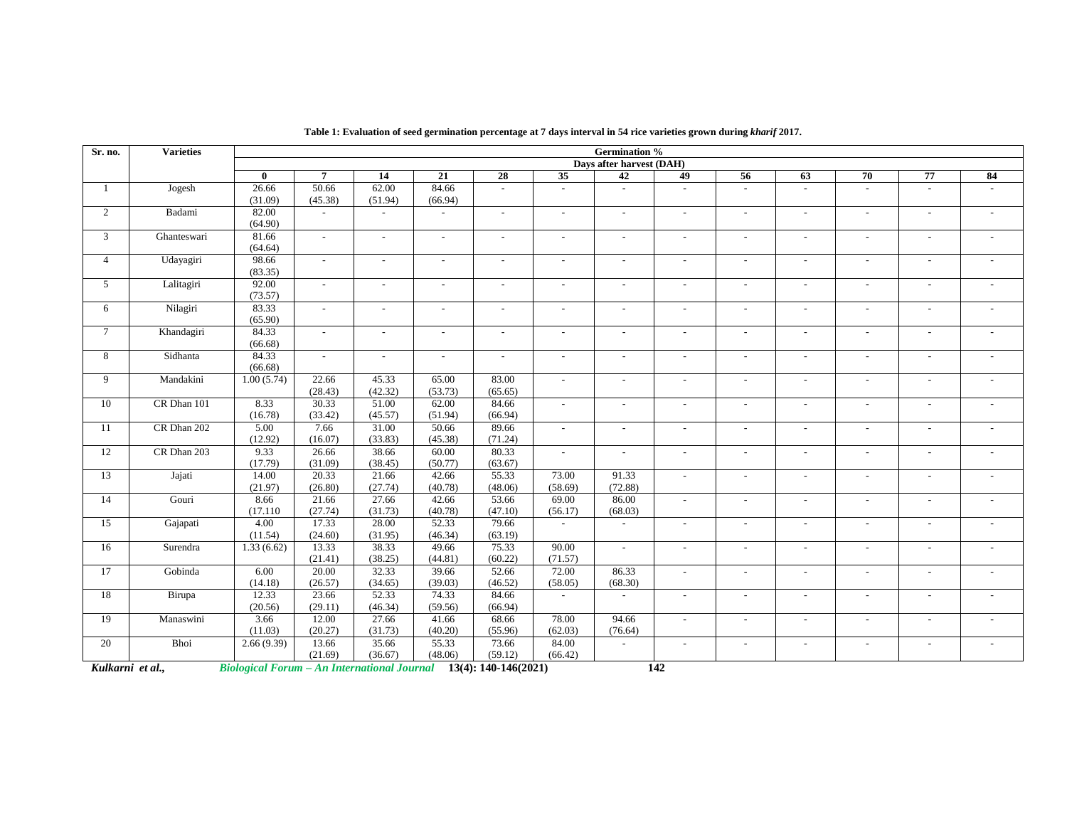| Sr. no.          | <b>Varieties</b> |                                                    | <b>Germination %</b> |                          |                          |                          |                          |                          |                          |                          |                          |                          |                          |                          |  |  |
|------------------|------------------|----------------------------------------------------|----------------------|--------------------------|--------------------------|--------------------------|--------------------------|--------------------------|--------------------------|--------------------------|--------------------------|--------------------------|--------------------------|--------------------------|--|--|
|                  |                  |                                                    |                      |                          |                          |                          |                          | Days after harvest (DAH) |                          |                          |                          |                          |                          |                          |  |  |
|                  |                  | $\mathbf{0}$                                       | $\overline{7}$       | $\overline{14}$          | $\overline{21}$          | $\overline{28}$          | $\overline{35}$          | 42                       | 49                       | $\overline{56}$          | 63                       | 70                       | 77                       | 84                       |  |  |
| 1                | Jogesh           | 26.66                                              | 50.66                | 62.00                    | 84.66                    | $\sim$                   |                          | $\overline{a}$           | $\overline{a}$           |                          | $\overline{a}$           |                          | $\overline{a}$           | $\sim$                   |  |  |
|                  |                  | (31.09)                                            | (45.38)              | (51.94)                  | (66.94)                  |                          |                          |                          |                          |                          |                          |                          |                          |                          |  |  |
| $\overline{2}$   | Badami           | 82.00                                              |                      | $\sim$                   | $\overline{\phantom{a}}$ | $\sim$                   | $\sim$                   | $\overline{\phantom{a}}$ | $\sim$                   | $\sim$                   | $\sim$                   | $\overline{\phantom{a}}$ | $\blacksquare$           | $\sim$                   |  |  |
|                  |                  | (64.90)                                            |                      |                          |                          |                          |                          |                          |                          |                          |                          |                          |                          |                          |  |  |
| 3                | Ghanteswari      | 81.66                                              | $\overline{a}$       | $\overline{a}$           | $\overline{\phantom{a}}$ | $\overline{\phantom{a}}$ |                          | $\overline{a}$           | $\overline{\phantom{a}}$ | $\overline{a}$           | $\sim$                   | $\overline{\phantom{a}}$ | $\overline{\phantom{a}}$ |                          |  |  |
|                  |                  | (64.64)                                            |                      |                          |                          |                          |                          |                          |                          |                          |                          |                          |                          |                          |  |  |
| $\overline{4}$   | Udayagiri        | 98.66                                              | $\sim$               | $\overline{\phantom{a}}$ | $\overline{\phantom{a}}$ | $\overline{\phantom{a}}$ | $\overline{a}$           | $\overline{\phantom{a}}$ | $\blacksquare$           | $\overline{\phantom{a}}$ | $\overline{\phantom{a}}$ | $\sim$                   | $\blacksquare$           | $\overline{\phantom{a}}$ |  |  |
|                  |                  | (83.35)                                            |                      |                          |                          |                          |                          |                          |                          |                          |                          |                          |                          |                          |  |  |
| 5                | Lalitagiri       | 92.00                                              |                      | $\overline{\phantom{a}}$ | $\overline{\phantom{a}}$ | $\overline{\phantom{a}}$ |                          | $\overline{\phantom{a}}$ | $\overline{a}$           |                          | $\overline{a}$           |                          | $\overline{a}$           | $\sim$                   |  |  |
|                  |                  | (73.57)                                            |                      |                          |                          |                          |                          |                          |                          |                          |                          |                          |                          |                          |  |  |
| 6                | Nilagiri         | 83.33                                              | $\sim$               | $\overline{\phantom{a}}$ | $\overline{\phantom{a}}$ | $\overline{\phantom{a}}$ | $\overline{\phantom{a}}$ | $\overline{\phantom{a}}$ | $\overline{\phantom{a}}$ | $\overline{\phantom{a}}$ | $\overline{\phantom{a}}$ | $\overline{\phantom{a}}$ | $\overline{\phantom{a}}$ | $\overline{\phantom{a}}$ |  |  |
|                  |                  | (65.90)                                            |                      |                          |                          |                          |                          |                          |                          |                          |                          |                          |                          |                          |  |  |
| $\tau$           | Khandagiri       | 84.33                                              | $\sim$               | $\overline{a}$           | $\sim$                   | $\sim$                   | $\overline{a}$           | $\overline{a}$           | $\overline{a}$           | $\sim$                   | $\sim$                   | $\sim$                   | $\sim$                   | $\sim$                   |  |  |
|                  |                  | (66.68)                                            |                      |                          |                          |                          |                          |                          |                          |                          |                          |                          |                          |                          |  |  |
| 8                | Sidhanta         | 84.33                                              | $\sim$               | $\overline{a}$           |                          | $\sim$                   |                          | $\overline{a}$           | $\overline{a}$           | $\overline{a}$           | $\sim$                   | $\overline{\phantom{a}}$ | $\overline{a}$           | $\blacksquare$           |  |  |
|                  |                  | (66.68)                                            |                      |                          |                          |                          |                          |                          |                          |                          |                          |                          |                          |                          |  |  |
| 9                | Mandakini        | 1.00(5.74)                                         | 22.66                | 45.33                    | 65.00                    | 83.00                    |                          | $\overline{a}$           | $\overline{a}$           | $\overline{a}$           | $\sim$                   | $\overline{\phantom{a}}$ | $\overline{a}$           | $\sim$                   |  |  |
|                  |                  |                                                    | (28.43)              | (42.32)                  | (53.73)                  | (65.65)                  |                          |                          |                          |                          |                          |                          |                          |                          |  |  |
| 10               | CR Dhan 101      | 8.33                                               | 30.33                | 51.00                    | 62.00                    | 84.66                    | $\sim$                   | $\sim$                   | $\sim$                   | $\overline{\phantom{a}}$ | $\sim$                   | $\sim$                   | $\sim$                   | $\sim$                   |  |  |
|                  |                  | (16.78)                                            | (33.42)              | (45.57)                  | (51.94)                  | (66.94)                  |                          |                          |                          |                          |                          |                          |                          |                          |  |  |
| 11               | CR Dhan 202      | 5.00                                               | 7.66                 | 31.00                    | 50.66                    | 89.66                    | $\sim$                   | $\overline{a}$           | $\sim$                   | $\overline{a}$           | $\sim$                   | $\overline{\phantom{a}}$ | $\blacksquare$           | $\sim$                   |  |  |
|                  |                  | (12.92)                                            | (16.07)              | (33.83)                  | (45.38)                  | (71.24)                  |                          |                          |                          |                          |                          |                          |                          |                          |  |  |
| 12               | CR Dhan 203      | 9.33                                               | 26.66                | 38.66                    | 60.00                    | 80.33                    | $\overline{\phantom{a}}$ | $\sim$                   | $\blacksquare$           | $\blacksquare$           | $\sim$                   | $\sim$                   | $\blacksquare$           | $\sim$                   |  |  |
|                  |                  | (17.79)                                            | (31.09)              | (38.45)                  | (50.77)                  | (63.67)                  |                          |                          |                          |                          |                          |                          |                          |                          |  |  |
| 13               | Jajati           | 14.00                                              | 20.33                | 21.66                    | 42.66                    | 55.33                    | 73.00                    | 91.33                    | $\overline{a}$           |                          | $\overline{a}$           |                          | $\overline{a}$           | $\overline{\phantom{a}}$ |  |  |
|                  |                  | (21.97)                                            | (26.80)              | (27.74)                  | (40.78)                  | (48.06)                  | (58.69)                  | (72.88)                  |                          |                          |                          |                          |                          |                          |  |  |
| 14               | Gouri            | 8.66                                               | 21.66                | 27.66                    | 42.66                    | 53.66                    | 69.00                    | 86.00                    | $\overline{a}$           |                          | $\sim$                   | $\overline{\phantom{a}}$ | $\blacksquare$           | $\sim$                   |  |  |
|                  |                  | (17.110)                                           | (27.74)              | (31.73)                  | (40.78)                  | (47.10)                  | (56.17)                  | (68.03)                  |                          |                          |                          |                          |                          |                          |  |  |
| 15               | Gajapati         | 4.00                                               | 17.33                | 28.00                    | 52.33                    | 79.66                    | $\overline{a}$           | $\blacksquare$           | $\sim$                   | $\overline{\phantom{a}}$ | $\sim$                   | $\sim$                   | $\sim$                   | $\overline{\phantom{a}}$ |  |  |
|                  |                  | (11.54)                                            | (24.60)              | (31.95)                  | (46.34)                  | (63.19)                  |                          |                          |                          |                          |                          |                          |                          |                          |  |  |
| 16               | Surendra         | 1.33(6.62)                                         | 13.33                | 38.33                    | 49.66                    | 75.33                    | 90.00                    | $\blacksquare$           | $\sim$                   | $\sim$                   | $\sim$                   | $\overline{a}$           | $\overline{a}$           | $\sim$                   |  |  |
|                  |                  |                                                    | (21.41)              | (38.25)                  | (44.81)                  | (60.22)                  | (71.57)                  |                          |                          |                          |                          |                          |                          |                          |  |  |
| 17               | Gobinda          | 6.00                                               | 20.00                | 32.33                    | 39.66                    | 52.66                    | 72.00                    | 86.33                    | $\overline{a}$           | $\overline{\phantom{a}}$ | $\sim$                   | $\overline{a}$           | $\overline{a}$           | $\sim$                   |  |  |
|                  |                  | (14.18)                                            | (26.57)              | (34.65)                  | (39.03)                  | (46.52)                  | (58.05)                  | (68.30)                  |                          |                          |                          |                          |                          |                          |  |  |
| 18               | Birupa           | 12.33                                              | 23.66                | 52.33                    | 74.33                    | 84.66                    | $\sim$                   | $\overline{\phantom{a}}$ | $\overline{\phantom{a}}$ | $\overline{\phantom{a}}$ | $\overline{\phantom{a}}$ | $\overline{\phantom{a}}$ | $\overline{\phantom{a}}$ | $\overline{\phantom{a}}$ |  |  |
|                  |                  | (20.56)                                            | (29.11)              | (46.34)                  | (59.56)                  | (66.94)                  |                          |                          |                          |                          |                          |                          |                          |                          |  |  |
| 19               | Manaswini        | 3.66                                               | 12.00                | 27.66                    | 41.66                    | 68.66                    | 78.00                    | 94.66                    | $\sim$                   | $\overline{\phantom{a}}$ | $\overline{\phantom{a}}$ | $\overline{\phantom{a}}$ | $\overline{\phantom{a}}$ | $\overline{\phantom{a}}$ |  |  |
|                  |                  | (11.03)                                            | (20.27)              | (31.73)                  | (40.20)                  | (55.96)                  | (62.03)                  | (76.64)                  |                          |                          |                          |                          |                          |                          |  |  |
| $\overline{20}$  | Bhoi             | 2.66(9.39)                                         | 13.66                | 35.66                    | 55.33                    | 73.66                    | 84.00                    | $\sim$                   | $\overline{a}$           | $\sim$                   | $\overline{\phantom{a}}$ | $\sim$                   | $\sim$                   | $\overline{\phantom{a}}$ |  |  |
|                  |                  |                                                    | (21.69)              | (36.67)                  | (48.06)                  | (59.12)                  | (66.42)                  |                          |                          |                          |                          |                          |                          |                          |  |  |
| Kulkarni et al., |                  | <b>Biological Forum - An International Journal</b> |                      |                          |                          | $13(4)$ : 140-146(2021)  |                          |                          | 142                      |                          |                          |                          |                          |                          |  |  |

| Table 1: Evaluation of seed germination percentage at 7 days interval in 54 rice varieties grown during kharif 2017. |  |  |
|----------------------------------------------------------------------------------------------------------------------|--|--|
|                                                                                                                      |  |  |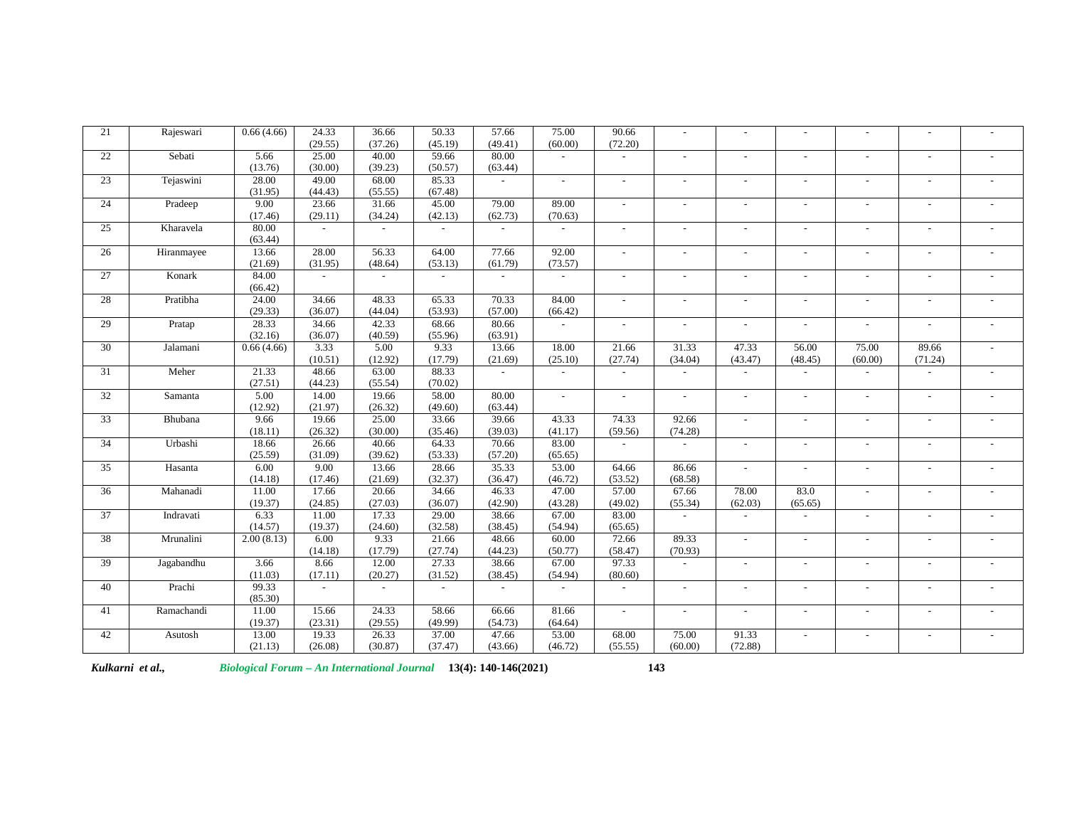| 21              | Rajeswari  | 0.66(4.66) | 24.33          | 36.66   | 50.33          | 57.66          | 75.00                    | 90.66                    |                          |                          |                          |                          |                |                          |
|-----------------|------------|------------|----------------|---------|----------------|----------------|--------------------------|--------------------------|--------------------------|--------------------------|--------------------------|--------------------------|----------------|--------------------------|
|                 |            |            | (29.55)        | (37.26) | (45.19)        | (49.41)        | (60.00)                  | (72.20)                  |                          |                          |                          |                          |                |                          |
| 22              | Sebati     | 5.66       | 25.00          | 40.00   | 59.66          | 80.00          |                          |                          | $\sim$                   | $\overline{\phantom{a}}$ | $\overline{\phantom{a}}$ |                          |                | $\overline{\phantom{a}}$ |
|                 |            | (13.76)    | (30.00)        | (39.23) | (50.57)        | (63.44)        |                          |                          |                          |                          |                          |                          |                |                          |
| 23              | Tejaswini  | 28.00      | 49.00          | 68.00   | 85.33          | $\mathcal{L}$  | $\overline{a}$           | $\overline{a}$           | $\overline{a}$           |                          | $\overline{a}$           | $\sim$                   | $\overline{a}$ | $\sim$                   |
|                 |            | (31.95)    | (44.43)        | (55.55) | (67.48)        |                |                          |                          |                          |                          |                          |                          |                |                          |
| 24              | Pradeep    | 9.00       | 23.66          | 31.66   | 45.00          | 79.00          | 89.00                    | -                        | $\overline{\phantom{a}}$ |                          | $\overline{a}$           |                          | ÷              |                          |
|                 |            | (17.46)    | (29.11)        | (34.24) | (42.13)        | (62.73)        | (70.63)                  |                          |                          |                          |                          |                          |                |                          |
| 25              | Kharavela  | 80.00      | $\overline{a}$ | $\sim$  | $\overline{a}$ | $\overline{a}$ | $\overline{a}$           |                          |                          | $\overline{a}$           | $\overline{a}$           |                          | $\overline{a}$ | $\overline{a}$           |
|                 |            | (63.44)    |                |         |                |                |                          |                          |                          |                          |                          |                          |                |                          |
| 26              | Hiranmayee | 13.66      | 28.00          | 56.33   | 64.00          | 77.66          | 92.00                    |                          |                          |                          |                          |                          | $\overline{a}$ | $\overline{a}$           |
|                 |            | (21.69)    | (31.95)        | (48.64) | (53.13)        | (61.79)        | (73.57)                  |                          |                          |                          |                          |                          |                |                          |
| 27              | Konark     | 84.00      | $\sim$         |         |                | $\sim$         |                          |                          |                          |                          | $\sim$                   |                          |                |                          |
|                 |            | (66.42)    |                |         |                |                |                          |                          |                          |                          |                          |                          |                |                          |
| 28              | Pratibha   | 24.00      | 34.66          | 48.33   | 65.33          | 70.33          | 84.00                    | $\sim$                   | $\overline{a}$           | $\overline{a}$           | $\sim$                   | $\overline{\phantom{a}}$ | $\overline{a}$ | $\sim$                   |
|                 |            | (29.33)    | (36.07)        | (44.04) | (53.93)        | (57.00)        | (66.42)                  |                          |                          |                          |                          |                          |                |                          |
| 29              | Pratap     | 28.33      | 34.66          | 42.33   | 68.66          | 80.66          | $\overline{\phantom{a}}$ | $\overline{\phantom{a}}$ |                          | $\overline{\phantom{a}}$ | $\sim$                   |                          | ٠              | $\blacksquare$           |
|                 |            | (32.16)    | (36.07)        | (40.59) | (55.96)        | (63.91)        |                          |                          |                          |                          |                          |                          |                |                          |
| 30              | Jalamani   | 0.66(4.66) | 3.33           | 5.00    | 9.33           | 13.66          | 18.00                    | 21.66                    | 31.33                    | 47.33                    | 56.00                    | 75.00                    | 89.66          | $\overline{a}$           |
|                 |            |            | (10.51)        | (12.92) | (17.79)        | (21.69)        | (25.10)                  | (27.74)                  | (34.04)                  | (43.47)                  | (48.45)                  | (60.00)                  | (71.24)        |                          |
| 31              | Meher      | 21.33      | 48.66          | 63.00   | 88.33          | $\sim$         |                          |                          |                          |                          | $\blacksquare$           |                          |                |                          |
|                 |            | (27.51)    | (44.23)        | (55.54) | (70.02)        |                |                          |                          |                          |                          |                          |                          |                |                          |
| 32              | Samanta    | 5.00       | 14.00          | 19.66   | 58.00          | 80.00          |                          |                          | $\overline{a}$           |                          | $\blacksquare$           |                          |                | $\overline{a}$           |
|                 |            | (12.92)    | (21.97)        | (26.32) | (49.60)        | (63.44)        |                          |                          |                          |                          |                          |                          |                |                          |
| $\overline{33}$ | Bhubana    | 9.66       | 19.66          | 25.00   | 33.66          | 39.66          | 43.33                    | 74.33                    | 92.66                    | $\sim$                   | $\sim$                   | $\sim$                   | $\sim$         | $\sim$                   |
|                 |            | (18.11)    | (26.32)        | (30.00) | (35.46)        | (39.03)        | (41.17)                  | (59.56)                  | (74.28)                  |                          |                          |                          |                |                          |
| 34              | Urbashi    | 18.66      | 26.66          | 40.66   | 64.33          | 70.66          | 83.00                    |                          |                          |                          |                          |                          |                |                          |
|                 |            | (25.59)    | (31.09)        | (39.62) | (53.33)        | (57.20)        | (65.65)                  |                          |                          |                          |                          |                          |                |                          |
| 35              | Hasanta    | 6.00       | 9.00           | 13.66   | 28.66          | 35.33          | 53.00                    | 64.66                    | 86.66                    | $\sim$                   | $\overline{a}$           |                          |                | $\overline{a}$           |
|                 |            | (14.18)    | (17.46)        | (21.69) | (32.37)        | (36.47)        | (46.72)                  | (53.52)                  | (68.58)                  |                          |                          |                          |                |                          |
| 36              | Mahanadi   | 11.00      | 17.66          | 20.66   | 34.66          | 46.33          | 47.00                    | 57.00                    | 67.66                    | 78.00                    | 83.0                     | $\sim$                   | $\overline{a}$ | $\overline{\phantom{a}}$ |
|                 |            | (19.37)    | (24.85)        | (27.03) | (36.07)        | (42.90)        | (43.28)                  | (49.02)                  | (55.34)                  | (62.03)                  | (65.65)                  |                          |                |                          |
| $\overline{37}$ | Indravati  | 6.33       | 11.00          | 17.33   | 29.00          | 38.66          | 67.00                    | 83.00                    | $\sim$                   | $\overline{a}$           | $\sim$                   |                          |                | $\overline{a}$           |
|                 |            | (14.57)    | (19.37)        | (24.60) | (32.58)        | (38.45)        | (54.94)                  | (65.65)                  |                          |                          |                          |                          |                |                          |
| 38              | Mrunalini  | 2.00(8.13) | 6.00           | 9.33    | 21.66          | 48.66          | 60.00                    | 72.66                    | 89.33                    | $\overline{a}$           | $\sim$                   | $\overline{\phantom{a}}$ | $\overline{a}$ | $\sim$                   |
|                 |            |            | (14.18)        | (17.79) | (27.74)        | (44.23)        | (50.77)                  | (58.47)                  | (70.93)                  |                          |                          |                          |                |                          |
| 39              | Jagabandhu | 3.66       | 8.66           | 12.00   | 27.33          | 38.66          | 67.00                    | 97.33                    |                          |                          | $\overline{a}$           |                          |                | $\overline{\phantom{a}}$ |
|                 |            | (11.03)    | (17.11)        | (20.27) | (31.52)        | (38.45)        | (54.94)                  | (80.60)                  |                          |                          |                          |                          |                |                          |
| 40              | Prachi     | 99.33      | $\sim$         |         | $\sim$         | $\sim$         | $\sim$                   |                          | $\blacksquare$           | $\sim$                   | $\overline{\phantom{a}}$ |                          | $\sim$         | $\overline{\phantom{a}}$ |
|                 |            | (85.30)    |                |         |                |                |                          |                          |                          |                          |                          |                          |                |                          |
| 41              | Ramachandi | 11.00      | 15.66          | 24.33   | 58.66          | 66.66          | 81.66                    | $\sim$                   | $\overline{a}$           | $\overline{a}$           | $\overline{a}$           | $\overline{\phantom{a}}$ | $\overline{a}$ | $\sim$                   |
|                 |            | (19.37)    | (23.31)        | (29.55) | (49.99)        | (54.73)        | (64.64)                  |                          |                          |                          |                          |                          |                |                          |
| 42              | Asutosh    | 13.00      | 19.33          | 26.33   | 37.00          | 47.66          | 53.00                    | 68.00                    | 75.00                    | 91.33                    | $\sim$                   |                          |                | L.                       |
|                 |            | (21.13)    | (26.08)        | (30.87) | (37.47)        | (43.66)        | (46.72)                  | (55.55)                  | (60.00)                  | (72.88)                  |                          |                          |                |                          |

*Kulkarni et al., Biological Forum – An International Journal* **13(4): 140-146(2021) 143**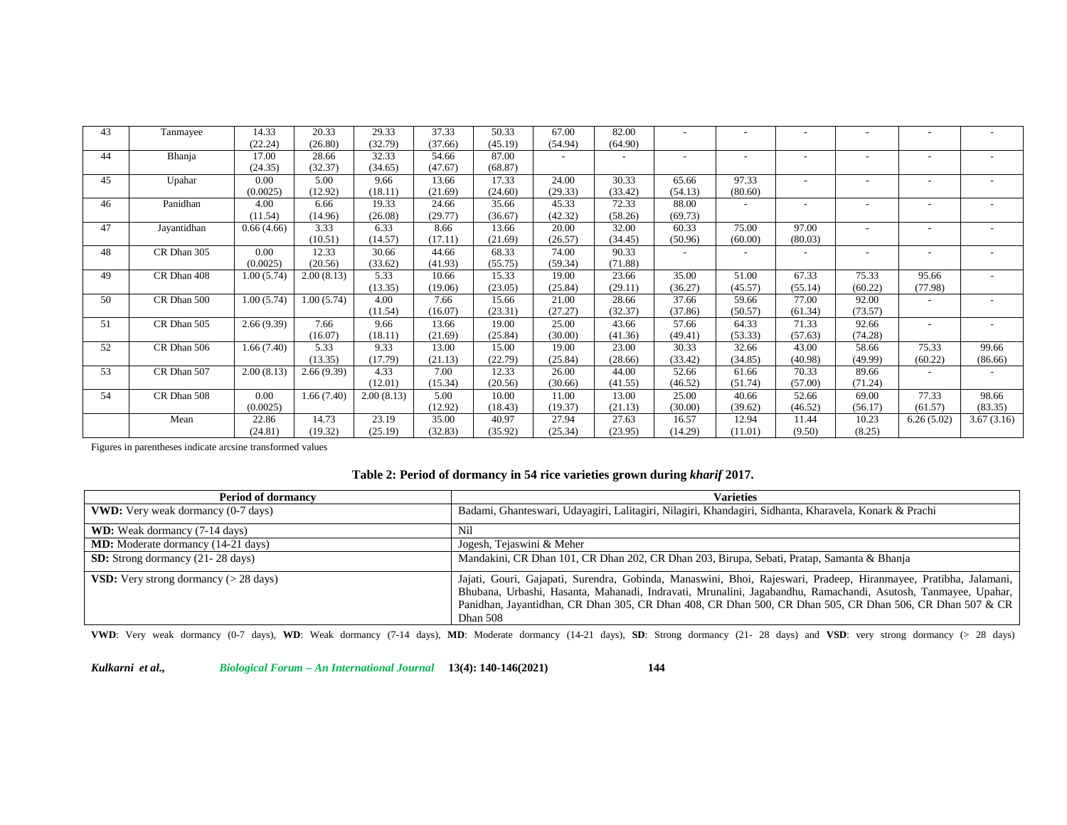| 43 | Tanmayee    | 14.33      | 20.33      | 29.33      | 37.33   | 50.33   | 67.00   | 82.00                    |                          |         |                          |                          |                          |                          |
|----|-------------|------------|------------|------------|---------|---------|---------|--------------------------|--------------------------|---------|--------------------------|--------------------------|--------------------------|--------------------------|
|    |             | (22.24)    | (26.80)    | (32.79)    | (37.66) | (45.19) | (54.94) | (64.90)                  |                          |         |                          |                          |                          |                          |
| 44 | Bhanja      | 17.00      | 28.66      | 32.33      | 54.66   | 87.00   |         | $\overline{\phantom{a}}$ |                          |         | $\overline{\phantom{a}}$ | $\overline{\phantom{a}}$ |                          |                          |
|    |             | (24.35)    | (32.37)    | (34.65)    | (47.67) | (68.87) |         |                          |                          |         |                          |                          |                          |                          |
| 45 | Upahar      | 0.00       | 5.00       | 9.66       | 13.66   | 17.33   | 24.00   | 30.33                    | 65.66                    | 97.33   | $\overline{\phantom{0}}$ |                          |                          |                          |
|    |             | (0.0025)   | (12.92)    | (18.11)    | (21.69) | (24.60) | (29.33) | (33.42)                  | (54.13)                  | (80.60) |                          |                          |                          |                          |
| 46 | Panidhan    | 4.00       | 6.66       | 19.33      | 24.66   | 35.66   | 45.33   | 72.33                    | 88.00                    |         | $\overline{\phantom{a}}$ |                          |                          |                          |
|    |             | (11.54)    | (14.96)    | (26.08)    | (29.77) | (36.67) | (42.32) | (58.26)                  | (69.73)                  |         |                          |                          |                          |                          |
| 47 | Jayantidhan | 0.66(4.66) | 3.33       | 6.33       | 8.66    | 13.66   | 20.00   | 32.00                    | 60.33                    | 75.00   | 97.00                    | $\overline{\phantom{a}}$ |                          |                          |
|    |             |            | (10.51)    | (14.57)    | (17.11) | (21.69) | (26.57) | (34.45)                  | (50.96)                  | (60.00) | (80.03)                  |                          |                          |                          |
| 48 | CR Dhan 305 | 0.00       | 12.33      | 30.66      | 44.66   | 68.33   | 74.00   | 90.33                    | $\overline{\phantom{a}}$ |         | $\overline{\phantom{a}}$ | $\overline{\phantom{a}}$ | $\overline{\phantom{a}}$ |                          |
|    |             | (0.0025)   | (20.56)    | (33.62)    | (41.93) | (55.75) | (59.34) | (71.88)                  |                          |         |                          |                          |                          |                          |
| 49 | CR Dhan 408 | 1.00(5.74) | 2.00(8.13) | 5.33       | 10.66   | 15.33   | 19.00   | 23.66                    | 35.00                    | 51.00   | 67.33                    | 75.33                    | 95.66                    |                          |
|    |             |            |            | (13.35)    | (19.06) | (23.05) | (25.84) | (29.11)                  | (36.27)                  | (45.57) | (55.14)                  | (60.22)                  | (77.98)                  |                          |
| 50 | CR Dhan 500 | 1.00(5.74) | 1.00(5.74) | 4.00       | 7.66    | 15.66   | 21.00   | 28.66                    | 37.66                    | 59.66   | 77.00                    | 92.00                    |                          |                          |
|    |             |            |            | (11.54)    | (16.07) | (23.31) | (27.27) | (32.37)                  | (37.86)                  | (50.57) | (61.34)                  | (73.57)                  |                          |                          |
| 51 | CR Dhan 505 | 2.66(9.39) | 7.66       | 9.66       | 13.66   | 19.00   | 25.00   | 43.66                    | 57.66                    | 64.33   | 71.33                    | 92.66                    | $\overline{\phantom{a}}$ | $\overline{\phantom{a}}$ |
|    |             |            | (16.07)    | (18.11)    | (21.69) | (25.84) | (30.00) | (41.36)                  | (49.41)                  | (53.33) | (57.63)                  | (74.28)                  |                          |                          |
| 52 | CR Dhan 506 | 1.66(7.40) | 5.33       | 9.33       | 13.00   | 15.00   | 19.00   | 23.00                    | 30.33                    | 32.66   | 43.00                    | 58.66                    | 75.33                    | 99.66                    |
|    |             |            | (13.35)    | (17.79)    | (21.13) | (22.79) | (25.84) | (28.66)                  | (33.42)                  | (34.85) | (40.98)                  | (49.99)                  | (60.22)                  | (86.66)                  |
| 53 | CR Dhan 507 | 2.00(8.13) | 2.66(9.39) | 4.33       | 7.00    | 12.33   | 26.00   | 44.00                    | 52.66                    | 61.66   | 70.33                    | 89.66                    |                          |                          |
|    |             |            |            | (12.01)    | (15.34) | (20.56) | (30.66) | (41.55)                  | (46.52)                  | (51.74) | (57.00)                  | (71.24)                  |                          |                          |
| 54 | CR Dhan 508 | 0.00       | 1.66(7.40) | 2.00(8.13) | 5.00    | 10.00   | 11.00   | 13.00                    | 25.00                    | 40.66   | 52.66                    | 69.00                    | 77.33                    | 98.66                    |
|    |             | (0.0025)   |            |            | (12.92) | (18.43) | (19.37) | (21.13)                  | (30.00)                  | (39.62) | (46.52)                  | (56.17)                  | (61.57)                  | (83.35)                  |
|    | Mean        | 22.86      | 14.73      | 23.19      | 35.00   | 40.97   | 27.94   | 27.63                    | 16.57                    | 12.94   | 11.44                    | 10.23                    | 6.26(5.02)               | 3.67(3.16)               |
|    |             | (24.81)    | (19.32)    | (25.19)    | (32.83) | (35.92) | (25.34) | (23.95)                  | (14.29)                  | (11.01) | (9.50)                   | (8.25)                   |                          |                          |

Figures in parentheses indicate arcsine transformed values

#### **Table 2: Period of dormancy in 54 rice varieties grown during** *kharif* **2017.**

| <b>Period of dormancy</b>                              | <b>Varieties</b>                                                                                                                                                                                                                                                                                                                                                 |
|--------------------------------------------------------|------------------------------------------------------------------------------------------------------------------------------------------------------------------------------------------------------------------------------------------------------------------------------------------------------------------------------------------------------------------|
| <b>VWD:</b> Very weak dormancy (0-7 days)              | Badami, Ghanteswari, Udayagiri, Lalitagiri, Nilagiri, Khandagiri, Sidhanta, Kharavela, Konark & Prachi                                                                                                                                                                                                                                                           |
| <b>WD:</b> Weak dormancy (7-14 days)                   | Nil                                                                                                                                                                                                                                                                                                                                                              |
| <b>MD:</b> Moderate dormancy (14-21 days)              | Jogesh, Tejaswini & Meher                                                                                                                                                                                                                                                                                                                                        |
| <b>SD:</b> Strong dormancy (21-28 days)                | Mandakini, CR Dhan 101, CR Dhan 202, CR Dhan 203, Birupa, Sebati, Pratap, Samanta & Bhanja                                                                                                                                                                                                                                                                       |
| <b>VSD:</b> Very strong dormancy $(> 28 \text{ days})$ | Jajati, Gouri, Gajapati, Surendra, Gobinda, Manaswini, Bhoi, Rajeswari, Pradeep, Hiranmayee, Pratibha, Jalamani,<br>Bhubana, Urbashi, Hasanta, Mahanadi, Indravati, Mrunalini, Jagabandhu, Ramachandi, Asutosh, Tanmayee, Upahar,<br>Panidhan, Jayantidhan, CR Dhan 305, CR Dhan 408, CR Dhan 500, CR Dhan 505, CR Dhan 506, CR Dhan 507 & CR<br><b>Dhan 508</b> |

**VWD**: Very weak dormancy (0-7 days), **WD**: Weak dormancy (7-14 days), **MD**: Moderate dormancy (14-21 days), **SD**: Strong dormancy (21- 28 days) and **VSD**: very strong dormancy (> 28 days)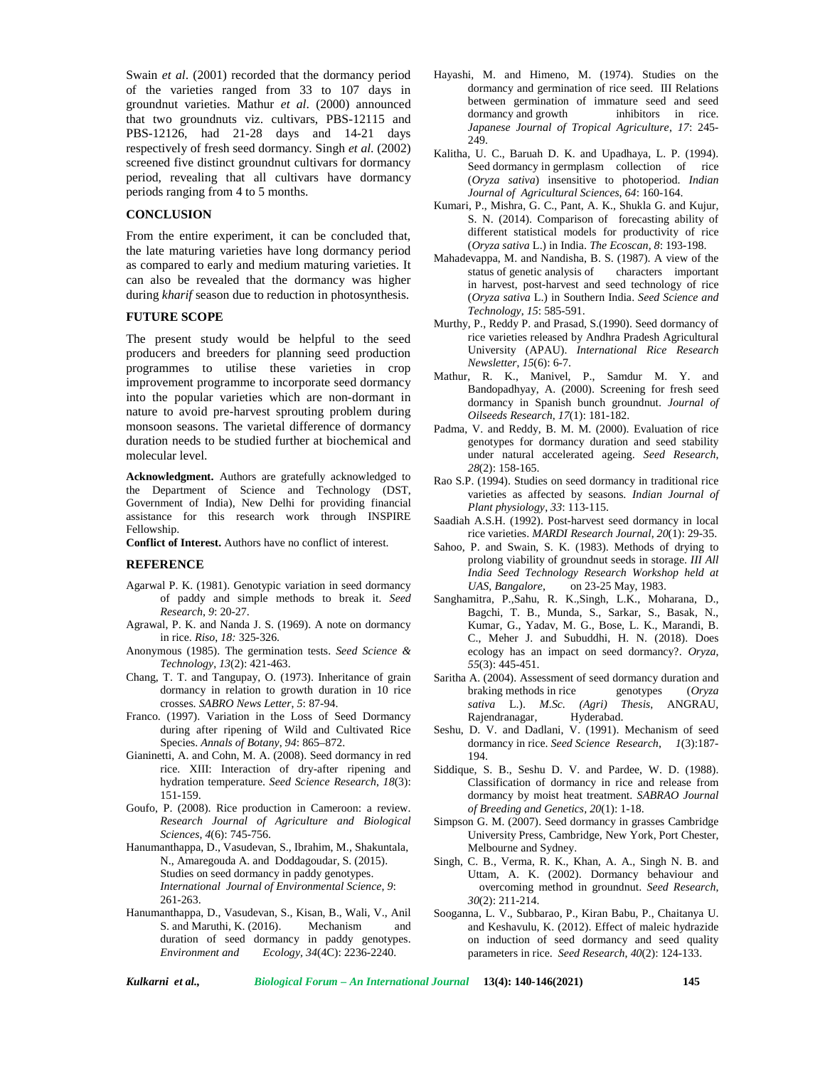Swain *et al*. (2001) recorded that the dormancy period of the varieties ranged from 33 to 107 days in groundnut varieties. Mathur *et al*. (2000) announced that two groundnuts viz. cultivars, PBS-12115 and PBS-12126, had 21-28 days and 14-21 days respectively of fresh seed dormancy. Singh *et al*. (2002) screened five distinct groundnut cultivars for dormancy period, revealing that all cultivars have dormancy periods ranging from 4 to 5 months.

# **CONCLUSION**

From the entire experiment, it can be concluded that, the late maturing varieties have long dormancy period as compared to early and medium maturing varieties. It can also be revealed that the dormancy was higher during *kharif* season due to reduction in photosynthesis.

#### **FUTURE SCOPE**

The present study would be helpful to the seed producers and breeders for planning seed production programmes to utilise these varieties in crop improvement programme to incorporate seed dormancy into the popular varieties which are non-dormant in nature to avoid pre-harvest sprouting problem during monsoon seasons. The varietal difference of dormancy duration needs to be studied further at biochemical and molecular level.

**Acknowledgment.** Authors are gratefully acknowledged to the Department of Science and Technology (DST, Government of India), New Delhi for providing financial assistance for this research work through INSPIRE Fellowship.

**Conflict of Interest.** Authors have no conflict of interest.

#### **REFERENCE**

- Agarwal P. K. (1981). Genotypic variation in seed dormancy of paddy and simple methods to break it*. Seed Research*, *9*: 20-27.
- Agrawal, P. K. and Nanda J. S. (1969). A note on dormancy in rice. *Riso*, *18:* 325-326.
- Anonymous (1985). The germination tests. *Seed Science & Technology*, *13*(2): 421-463.
- Chang, T. T. and Tangupay, O. (1973). Inheritance of grain dormancy in relation to growth duration in 10 rice crosses. *SABRO News Letter*, *5*: 87-94.
- Franco. (1997). Variation in the Loss of Seed Dormancy during after ripening of Wild and Cultivated Rice Species. *Annals of Botany*, *94*: 865–872.
- Gianinetti, A. and Cohn, M. A. (2008). Seed dormancy in red rice. XIII: Interaction of dry-after ripening and hydration temperature. *Seed Science Research*, *18*(3): 151-159.
- Goufo, P. (2008). Rice production in Cameroon: a review. *Research Journal of Agriculture and Biological Sciences*, *4*(6): 745-756.
- Hanumanthappa, D., Vasudevan, S., Ibrahim, M., Shakuntala, N., Amaregouda A. and Doddagoudar, S. (2015). Studies on seed dormancy in paddy genotypes. *International Journal of Environmental Science*, *9*: 261-263.
- Hanumanthappa, D., Vasudevan, S., Kisan, B., Wali, V., Anil S. and Maruthi, K. (2016). Mechanism and duration of seed dormancy in paddy genotypes. *Environment and Ecology, 34*(4C): 2236-2240.
- Hayashi, M. and Himeno, M. (1974). Studies on the dormancy and germination of rice seed. III Relations between germination of immature seed and seed dormancy and growth inhibitors in rice. *Japanese Journal of Tropical Agriculture*, *17*: 245- 249.
- Kalitha, U. C., Baruah D. K. and Upadhaya, L. P. (1994). Seed dormancy in germplasm collection of rice (*Oryza sativa*) insensitive to photoperiod. *Indian Journal of Agricultural Sciences*, *64*: 160-164.
- Kumari, P., Mishra, G. C., Pant, A. K., Shukla G. and Kujur, S. N. (2014). Comparison of forecasting ability of different statistical models for productivity of rice (*Oryza sativa* L.) in India. *The Ecoscan*, *8*: 193-198.
- Mahadevappa, M. and Nandisha, B. S. (1987). A view of the status of genetic analysis of characters important in harvest, post-harvest and seed technology of rice (*Oryza sativa* L.) in Southern India. *Seed Science and Technology*, *15*: 585-591.
- Murthy, P., Reddy P. and Prasad, S.(1990). Seed dormancy of rice varieties released by Andhra Pradesh Agricultural University (APAU). *International Rice Research Newsletter*, *15*(6): 6-7.
- Mathur, R. K., Manivel, P., Samdur M. Y. and Bandopadhyay, A. (2000). Screening for fresh seed dormancy in Spanish bunch groundnut. *Journal of Oilseeds Research*, *17*(1): 181-182.
- Padma, V. and Reddy, B. M. M. (2000). Evaluation of rice genotypes for dormancy duration and seed stability under natural accelerated ageing. *Seed Research*, *28*(2): 158-165.
- Rao S.P. (1994). Studies on seed dormancy in traditional rice varieties as affected by seasons. *Indian Journal of Plant physiology*, *33*: 113-115.
- Saadiah A.S.H. (1992). Post-harvest seed dormancy in local rice varieties. *MARDI Research Journal*, *20*(1): 29-35.
- Sahoo, P. and Swain, S. K. (1983). Methods of drying to prolong viability of groundnut seeds in storage. *III All India Seed Technology Research Workshop held at UAS, Bangalore*, on 23-25 May, 1983.
- Sanghamitra, P.,Sahu, R. K.,Singh, L.K., Moharana, D., Bagchi, T. B., Munda, S., Sarkar, S., Basak, N., Kumar, G., Yadav, M. G., Bose, L. K., Marandi, B. C., Meher J. and Subuddhi, H. N. (2018). Does ecology has an impact on seed dormancy?. *Oryza*, *55*(3): 445-451.
- Saritha A. (2004). Assessment of seed dormancy duration and braking methods in rice genotypes  $(Orxza)$ braking methods in rice *sativa* L.). *M.Sc. (Agri) Thesis*, ANGRAU, Rajendranagar, Hyderabad.
- Seshu, D. V. and Dadlani, V. (1991). Mechanism of seed dormancy in rice. *Seed Science Research*, *1*(3):187- 194.
- Siddique, S. B., Seshu D. V. and Pardee, W. D. (1988). Classification of dormancy in rice and release from dormancy by moist heat treatment. *SABRAO Journal of Breeding and Genetics, 20*(1): 1-18.
- Simpson G. M. (2007). Seed dormancy in grasses Cambridge University Press, Cambridge, New York, Port Chester, Melbourne and Sydney.
- Singh, C. B., Verma, R. K., Khan, A. A., Singh N. B. and Uttam, A. K. (2002). Dormancy behaviour and overcoming method in groundnut. *Seed Research*, *30*(2): 211-214.
- Sooganna, L. V., Subbarao, P., Kiran Babu, P., Chaitanya U. and Keshavulu, K. (2012). Effect of maleic hydrazide on induction of seed dormancy and seed quality parameters in rice. *Seed Research*, *40*(2): 124-133.